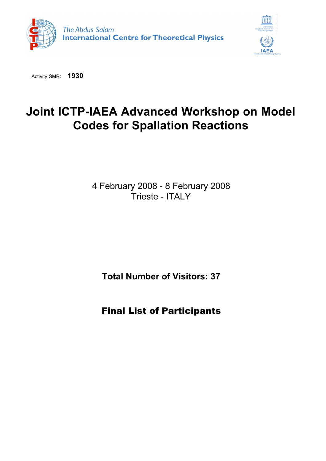



Activity SMR: **1930**

## **Joint ICTP-IAEA Advanced Workshop on Model Codes for Spallation Reactions**

4 February 2008 - 8 February 2008 Trieste - ITALY

**Total Number of Visitors: 37**

Final List of Participants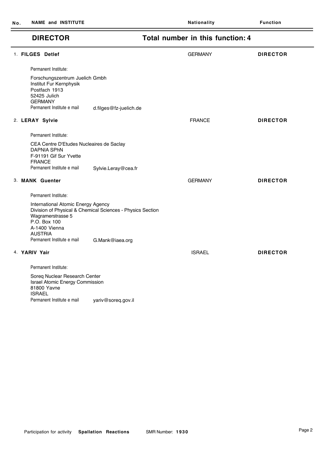$\overline{\phantom{0}}$ 

 $\overline{\phantom{0}}$ 

| <b>DIRECTOR</b>                                                                                          |                                                                                                                                                      | Total number in this function: 4                                                                                                                                                                                              |                                                                                      |
|----------------------------------------------------------------------------------------------------------|------------------------------------------------------------------------------------------------------------------------------------------------------|-------------------------------------------------------------------------------------------------------------------------------------------------------------------------------------------------------------------------------|--------------------------------------------------------------------------------------|
|                                                                                                          |                                                                                                                                                      | <b>GERMANY</b>                                                                                                                                                                                                                | <b>DIRECTOR</b>                                                                      |
| Permanent Institute:                                                                                     |                                                                                                                                                      |                                                                                                                                                                                                                               |                                                                                      |
| Institut Fur Kernphysik<br>Postfach 1913<br>52425 Julich<br><b>GERMANY</b><br>Permanent Institute e mail |                                                                                                                                                      |                                                                                                                                                                                                                               |                                                                                      |
|                                                                                                          |                                                                                                                                                      | <b>FRANCE</b>                                                                                                                                                                                                                 | <b>DIRECTOR</b>                                                                      |
| Permanent Institute:                                                                                     |                                                                                                                                                      |                                                                                                                                                                                                                               |                                                                                      |
| <b>DAPNIA SPhN</b><br>F-91191 Gif Sur Yvette                                                             |                                                                                                                                                      |                                                                                                                                                                                                                               |                                                                                      |
| Permanent Institute e mail                                                                               | Sylvie.Leray@cea.fr                                                                                                                                  |                                                                                                                                                                                                                               |                                                                                      |
|                                                                                                          |                                                                                                                                                      | <b>GERMANY</b>                                                                                                                                                                                                                | <b>DIRECTOR</b>                                                                      |
| Permanent Institute:                                                                                     |                                                                                                                                                      |                                                                                                                                                                                                                               |                                                                                      |
| Wagramerstrasse 5<br>P.O. Box 100<br>A-1400 Vienna<br><b>AUSTRIA</b>                                     |                                                                                                                                                      |                                                                                                                                                                                                                               |                                                                                      |
|                                                                                                          |                                                                                                                                                      |                                                                                                                                                                                                                               |                                                                                      |
|                                                                                                          |                                                                                                                                                      | <b>ISRAEL</b>                                                                                                                                                                                                                 | <b>DIRECTOR</b>                                                                      |
| Permanent Institute:                                                                                     |                                                                                                                                                      |                                                                                                                                                                                                                               |                                                                                      |
| 81800 Yavne<br><b>ISRAEL</b>                                                                             |                                                                                                                                                      |                                                                                                                                                                                                                               |                                                                                      |
|                                                                                                          |                                                                                                                                                      |                                                                                                                                                                                                                               |                                                                                      |
|                                                                                                          | 1. FILGES Detlef<br>2. LERAY Sylvie<br><b>FRANCE</b><br>3. MANK Guenter<br>Permanent Institute e mail<br>4. YARIV Yair<br>Permanent Institute e mail | Forschungszentrum Juelich Gmbh<br>CEA Centre D'Etudes Nucleaires de Saclay<br>International Atomic Energy Agency<br>G.Mank@iaea.org<br>Soreq Nuclear Research Center<br>Israel Atomic Energy Commission<br>yariv@soreq.gov.il | d.filges@fz-juelich.de<br>Division of Physical & Chemical Sciences - Physics Section |

## **DIRECTOR Total number in this function: 4**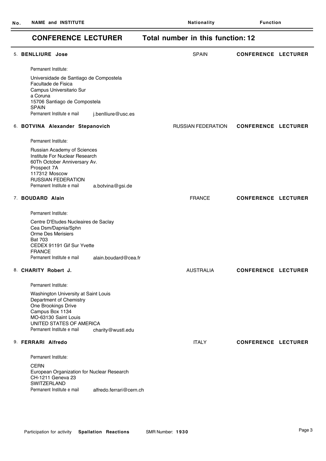## **CONFERENCE LECTURER Total number in this function: 12**

| <b>5. BENLLIURE Jose</b>                                                                                                                                                                    |                         | <b>SPAIN</b>              | <b>CONFERENCE LECTURER</b> |  |
|---------------------------------------------------------------------------------------------------------------------------------------------------------------------------------------------|-------------------------|---------------------------|----------------------------|--|
| Permanent Institute:                                                                                                                                                                        |                         |                           |                            |  |
| Universidade de Santiago de Compostela<br>Facultade de Fisica<br>Campus Universitario Sur<br>a Coruna<br>15706 Santiago de Compostela<br><b>SPAIN</b><br>Permanent Institute e mail         | j.benlliure@usc.es      |                           |                            |  |
| 6. BOTVINA Alexander Stepanovich                                                                                                                                                            |                         | <b>RUSSIAN FEDERATION</b> | <b>CONFERENCE LECTURER</b> |  |
| Permanent Institute:                                                                                                                                                                        |                         |                           |                            |  |
| Russian Academy of Sciences<br>Institute For Nuclear Research<br>60Th October Anniversary Av.<br>Prospect 7A<br>117312 Moscow<br><b>RUSSIAN FEDERATION</b>                                  |                         |                           |                            |  |
| Permanent Institute e mail                                                                                                                                                                  | a.botvina@gsi.de        |                           |                            |  |
| 7. BOUDARD Alain                                                                                                                                                                            |                         | <b>FRANCE</b>             | <b>CONFERENCE LECTURER</b> |  |
| Permanent Institute:                                                                                                                                                                        |                         |                           |                            |  |
| Centre D'Etudes Nucleaires de Saclay<br>Cea Dsm/Dapnia/Sphn<br>Orme Des Merisiers<br><b>Bat 703</b><br>CEDEX 91191 Gif Sur Yvette<br><b>FRANCE</b>                                          |                         |                           |                            |  |
| Permanent Institute e mail                                                                                                                                                                  | alain.boudard@cea.fr    |                           |                            |  |
| 8. CHARITY Robert J.                                                                                                                                                                        |                         | <b>AUSTRALIA</b>          | <b>CONFERENCE LECTURER</b> |  |
| Permanent Institute:                                                                                                                                                                        |                         |                           |                            |  |
| Washington University at Saint Louis<br>Department of Chemistry<br>One Brookings Drive<br>Campus Box 1134<br>MO-63130 Saint Louis<br>UNITED STATES OF AMERICA<br>Permanent Institute e mail | charity@wustl.edu       |                           |                            |  |
|                                                                                                                                                                                             |                         |                           |                            |  |
| 9. FERRARI Alfredo                                                                                                                                                                          |                         | <b>ITALY</b>              | <b>CONFERENCE LECTURER</b> |  |
| Permanent Institute:                                                                                                                                                                        |                         |                           |                            |  |
| <b>CERN</b><br>European Organization for Nuclear Research<br>CH-1211 Geneva 23<br>SWITZERLAND                                                                                               |                         |                           |                            |  |
| Permanent Institute e mail                                                                                                                                                                  | alfredo.ferrari@cern.ch |                           |                            |  |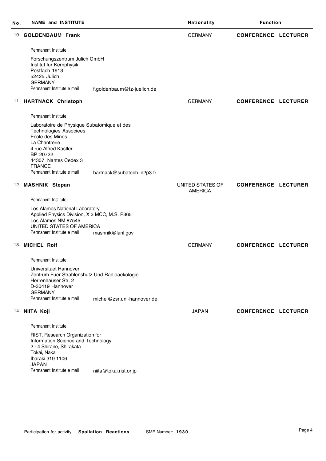| No. | <b>NAME and INSTITUTE</b>                                                                                                                                                                    |                            | Nationality                        | <b>Function</b>            |  |
|-----|----------------------------------------------------------------------------------------------------------------------------------------------------------------------------------------------|----------------------------|------------------------------------|----------------------------|--|
|     | 10. GOLDENBAUM Frank                                                                                                                                                                         |                            | <b>GERMANY</b>                     | <b>CONFERENCE LECTURER</b> |  |
|     | Permanent Institute:                                                                                                                                                                         |                            |                                    |                            |  |
|     | Forschungszentrum Julich GmbH<br>Institut fur Kernphysik<br>Postfach 1913<br>52425 Julich<br><b>GERMANY</b><br>Permanent Institute e mail                                                    | f.goldenbaum@fz-juelich.de |                                    |                            |  |
|     | 11. HARTNACK Christoph                                                                                                                                                                       |                            | <b>GERMANY</b>                     | <b>CONFERENCE LECTURER</b> |  |
|     | Permanent Institute:                                                                                                                                                                         |                            |                                    |                            |  |
|     | Laboratoire de Physique Subatomique et des<br><b>Technologies Associees</b><br>Ecole des Mines<br>La Chantrerie<br>4 rue Alfred Kastler<br>BP 20722<br>44307 Nantes Cedex 3<br><b>FRANCE</b> |                            |                                    |                            |  |
|     | Permanent Institute e mail                                                                                                                                                                   | hartnack@subatech.in2p3.fr |                                    |                            |  |
|     | 12. MASHNIK Stepan                                                                                                                                                                           |                            | UNITED STATES OF<br><b>AMERICA</b> | <b>CONFERENCE LECTURER</b> |  |
|     | Permanent Institute:                                                                                                                                                                         |                            |                                    |                            |  |
|     | Los Alamos National Laboratory<br>Applied Physics Division, X 3 MCC, M.S. P365<br>Los Alamos NM 87545<br>UNITED STATES OF AMERICA<br>Permanent Institute e mail                              | mashnik@lanl.gov           |                                    |                            |  |
|     | 13. MICHEL Rolf                                                                                                                                                                              |                            | <b>GERMANY</b>                     | <b>CONFERENCE LECTURER</b> |  |
|     | Permanent Institute:                                                                                                                                                                         |                            |                                    |                            |  |
|     | Universitaet Hannover<br>Zentrum Fuer Strahlenshutz Und Radioaekologie<br>Herrenhauser Str. 2<br>D-30419 Hannover<br><b>GERMANY</b>                                                          |                            |                                    |                            |  |
|     | Permanent Institute e mail                                                                                                                                                                   | michel@zsr.uni-hannover.de |                                    |                            |  |
|     | 14. NIITA Koji                                                                                                                                                                               |                            | <b>JAPAN</b>                       | <b>CONFERENCE LECTURER</b> |  |
|     | Permanent Institute:                                                                                                                                                                         |                            |                                    |                            |  |
|     | RIST, Research Organization for<br>Information Science and Technology<br>2 - 4 Shirane, Shirakata<br>Tokai, Naka<br>Ibaraki 319 1106<br><b>JAPAN</b>                                         |                            |                                    |                            |  |
|     | Permanent Institute e mail                                                                                                                                                                   | niita@tokai.rist.or.jp     |                                    |                            |  |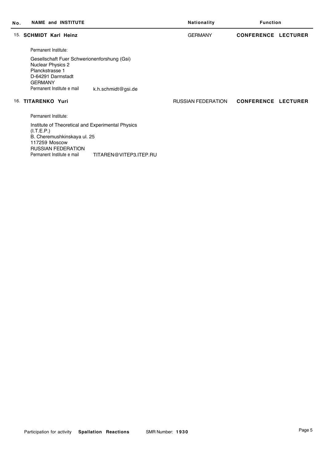| No. | <b>NAME and INSTITUTE</b>                                                                                                                                                                            | Nationality               | <b>Function</b>            |
|-----|------------------------------------------------------------------------------------------------------------------------------------------------------------------------------------------------------|---------------------------|----------------------------|
| 15. | <b>SCHMIDT Karl Heinz</b>                                                                                                                                                                            | <b>GERMANY</b>            | <b>CONFERENCE LECTURER</b> |
|     | Permanent Institute:                                                                                                                                                                                 |                           |                            |
|     | Gesellschaft Fuer Schwerionenforshung (Gsi)<br><b>Nuclear Physics 2</b><br>Planckstrasse 1<br>D-64291 Darmstadt<br><b>GERMANY</b><br>Permanent Institute e mail<br>k.h.schmidt@gsi.de                |                           |                            |
| 16. | <b>TITARENKO Yuri</b>                                                                                                                                                                                | <b>RUSSIAN FEDERATION</b> | <b>CONFERENCE LECTURER</b> |
|     | Permanent Institute:                                                                                                                                                                                 |                           |                            |
|     | Institute of Theoretical and Experimental Physics<br>(I.T.E.P.)<br>B. Cheremushkinskaya ul. 25<br>117259 Moscow<br><b>RUSSIAN FEDERATION</b><br>Permanent Institute e mail<br>TITAREN@VITEP3.ITEP.RU |                           |                            |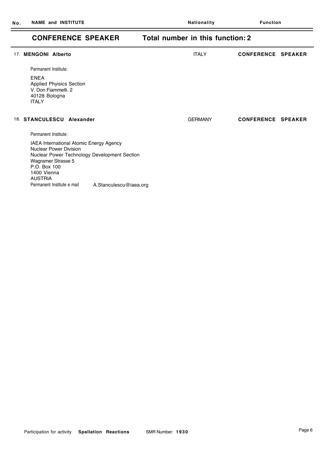## **CONFERENCE SPEAKER Total number in this function: 2**

| 17. MENGONI Alberto                                                                                                                                                                             |                        | <b>ITALY</b>   | <b>CONFERENCE SPEAKER</b> |  |
|-------------------------------------------------------------------------------------------------------------------------------------------------------------------------------------------------|------------------------|----------------|---------------------------|--|
| Permanent Institute:                                                                                                                                                                            |                        |                |                           |  |
| <b>ENEA</b><br><b>Applied Phyisics Section</b><br>V. Don Fiammelli, 2<br>40128 Bologna<br><b>ITALY</b>                                                                                          |                        |                |                           |  |
| 18. STANCULESCU Alexander                                                                                                                                                                       |                        | <b>GERMANY</b> | <b>CONFERENCE SPEAKER</b> |  |
| Permanent Institute:                                                                                                                                                                            |                        |                |                           |  |
| IAEA International Atomic Energy Agency<br><b>Nuclear Power Division</b><br>Nuclear Power Technology Development Section<br>Wagramer Strasse 5<br>P.O. Box 100<br>1400 Vienna<br><b>AUSTRIA</b> |                        |                |                           |  |
| Permanent Institute e mail                                                                                                                                                                      | A.Stanculescu@iaea.org |                |                           |  |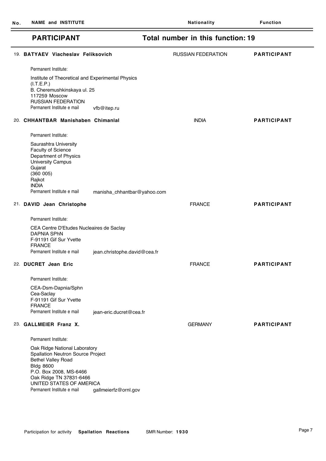| <b>PARTICIPANT</b>                                                                                                                                                                                                                                                |                              | Total number in this function: 19 |                    |
|-------------------------------------------------------------------------------------------------------------------------------------------------------------------------------------------------------------------------------------------------------------------|------------------------------|-----------------------------------|--------------------|
| 19. BATYAEV Viacheslav Feliksovich                                                                                                                                                                                                                                |                              | <b>RUSSIAN FEDERATION</b>         | <b>PARTICIPANT</b> |
| Permanent Institute:                                                                                                                                                                                                                                              |                              |                                   |                    |
| Institute of Theoretical and Experimental Physics<br>(I.T.E.P.)<br>B. Cheremushkinskaya ul. 25<br>117259 Moscow<br><b>RUSSIAN FEDERATION</b><br>Permanent Institute e mail                                                                                        | vfb@itep.ru                  |                                   |                    |
| 20. CHHANTBAR Manishaben Chimanial                                                                                                                                                                                                                                |                              | <b>INDIA</b>                      | <b>PARTICIPANT</b> |
| Permanent Institute:                                                                                                                                                                                                                                              |                              |                                   |                    |
| Saurashtra University<br>Faculty of Science<br>Department of Physics<br><b>University Campus</b><br>Gujarat<br>(360 005)<br>Rajkot<br><b>INDIA</b>                                                                                                                |                              |                                   |                    |
| Permanent Institute e mail                                                                                                                                                                                                                                        | manisha_chhantbar@yahoo.com  |                                   |                    |
| 21. DAVID Jean Christophe                                                                                                                                                                                                                                         |                              | <b>FRANCE</b>                     | <b>PARTICIPANT</b> |
| Permanent Institute:                                                                                                                                                                                                                                              |                              |                                   |                    |
| CEA Centre D'Etudes Nucleaires de Saclay<br><b>DAPNIA SPhN</b><br>F-91191 Gif Sur Yvette<br><b>FRANCE</b><br>Permanent Institute e mail                                                                                                                           | jean.christophe.david@cea.fr |                                   |                    |
| 22. DUCRET Jean Eric                                                                                                                                                                                                                                              |                              | <b>FRANCE</b>                     | <b>PARTICIPANT</b> |
| Permanent Institute:                                                                                                                                                                                                                                              |                              |                                   |                    |
| CEA-Dsm-Dapnia/Sphn<br>Cea-Saclay<br>F-91191 Gif Sur Yvette<br><b>FRANCE</b><br>Permanent Institute e mail                                                                                                                                                        | jean-eric.ducret@cea.fr      |                                   |                    |
| 23. GALLMEIER Franz X.                                                                                                                                                                                                                                            |                              | <b>GERMANY</b>                    | <b>PARTICIPANT</b> |
|                                                                                                                                                                                                                                                                   |                              |                                   |                    |
| Permanent Institute:<br>Oak Ridge National Laboratory<br><b>Spallation Neutron Source Project</b><br><b>Bethel Valley Road</b><br><b>Bldg 8600</b><br>P.O. Box 2008, MS-6466<br>Oak Ridge TN 37831-6466<br>UNITED STATES OF AMERICA<br>Permanent Institute e mail | gallmeierfz@ornl.gov         |                                   |                    |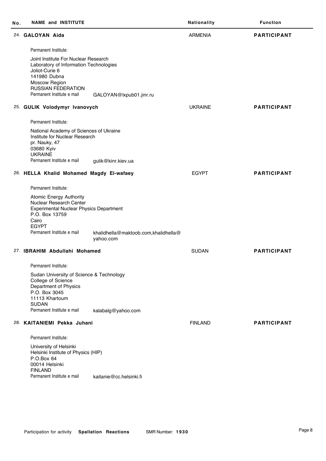| No. | <b>NAME and INSTITUTE</b>                                                                                                                                                                    |                                                   | Nationality    | <b>Function</b>    |
|-----|----------------------------------------------------------------------------------------------------------------------------------------------------------------------------------------------|---------------------------------------------------|----------------|--------------------|
|     | 24. GALOYAN Aida                                                                                                                                                                             |                                                   | <b>ARMENIA</b> | <b>PARTICIPANT</b> |
|     | Permanent Institute:                                                                                                                                                                         |                                                   |                |                    |
|     | Joint Institute For Nuclear Research<br>Laboratory of Information Technologies<br>Joliot-Curie 6<br>141980 Dubna<br>Moscow Region<br><b>RUSSIAN FEDERATION</b><br>Permanent Institute e mail | GALOYAN@lxpub01.jinr.ru                           |                |                    |
|     | 25. GULIK Volodymyr Ivanovych                                                                                                                                                                |                                                   | <b>UKRAINE</b> | <b>PARTICIPANT</b> |
|     |                                                                                                                                                                                              |                                                   |                |                    |
|     | Permanent Institute:                                                                                                                                                                         |                                                   |                |                    |
|     | National Academy of Sciences of Ukraine<br>Institute for Nuclear Research<br>pr. Nauky, 47<br>03680 Kyiv<br><b>UKRAINE</b>                                                                   |                                                   |                |                    |
|     | Permanent Institute e mail                                                                                                                                                                   | gulik@kinr.kiev.ua                                |                |                    |
|     | 26. HELLA Khalid Mohamed Magdy El-wafaey                                                                                                                                                     |                                                   | <b>EGYPT</b>   | <b>PARTICIPANT</b> |
|     | Permanent Institute:                                                                                                                                                                         |                                                   |                |                    |
|     | <b>Atomic Energy Authority</b><br>Nuclear Research Center<br><b>Experimental Nuclear Physics Department</b><br>P.O. Box 13759<br>Cairo<br><b>EGYPT</b><br>Permanent Institute e mail         | khalidhella@maktoob.com,khalidhella@<br>yahoo.com |                |                    |
|     | 27. IBRAHIM Abdullahi Mohamed                                                                                                                                                                |                                                   | <b>SUDAN</b>   | <b>PARTICIPANT</b> |
|     | Permanent Institute:                                                                                                                                                                         |                                                   |                |                    |
|     | Sudan University of Science & Technology<br>College of Science<br>Department of Physics<br>P.O. Box 3045<br>11113 Khartoum<br><b>SUDAN</b>                                                   |                                                   |                |                    |
|     | Permanent Institute e mail                                                                                                                                                                   | kalabalg@yahoo.com                                |                |                    |
|     | 28. KAITANIEMI Pekka Juhani                                                                                                                                                                  |                                                   | <b>FINLAND</b> | <b>PARTICIPANT</b> |
|     | Permanent Institute:                                                                                                                                                                         |                                                   |                |                    |
|     | University of Helsinki<br>Helsinki Institute of Physics (HIP)<br>P.O.Box 64<br>00014 Helsinki<br><b>FINLAND</b>                                                                              |                                                   |                |                    |
|     | Permanent Institute e mail                                                                                                                                                                   | kaitanie@cc.helsinki.fi                           |                |                    |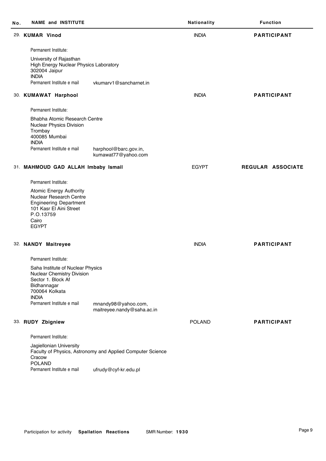| Νo. | <b>NAME and INSTITUTE</b>                                                                                                                                            |                                                            | Nationality   | <b>Function</b>    |
|-----|----------------------------------------------------------------------------------------------------------------------------------------------------------------------|------------------------------------------------------------|---------------|--------------------|
|     | 29. KUMAR Vinod                                                                                                                                                      |                                                            | <b>INDIA</b>  | <b>PARTICIPANT</b> |
|     | Permanent Institute:                                                                                                                                                 |                                                            |               |                    |
|     | University of Rajasthan<br>High Energy Nuclear Physics Laboratory<br>302004 Jaipur<br><b>INDIA</b><br>Permanent Institute e mail                                     | vkumary1@sancharnet.in                                     |               |                    |
|     |                                                                                                                                                                      |                                                            | <b>INDIA</b>  | <b>PARTICIPANT</b> |
|     | 30. KUMAWAT Harphool                                                                                                                                                 |                                                            |               |                    |
|     | Permanent Institute:                                                                                                                                                 |                                                            |               |                    |
|     | Bhabha Atomic Research Centre<br>Nuclear Physics Division<br>Trombay<br>400085 Mumbai<br><b>INDIA</b><br>Permanent Institute e mail                                  | harphool@barc.gov.in,<br>kumawat77@yahoo.com               |               |                    |
|     | 31. MAHMOUD GAD ALLAH Imbaby Ismail                                                                                                                                  |                                                            | <b>EGYPT</b>  | REGULAR ASSOCIATE  |
|     | Permanent Institute:                                                                                                                                                 |                                                            |               |                    |
|     | <b>Atomic Energy Authority</b><br>Nuclear Research Centre<br><b>Engineering Department</b><br>101 Kasr El Aini Street<br>P.O.13759<br>Cairo<br><b>EGYPT</b>          |                                                            |               |                    |
|     | 32. NANDY Maitreyee                                                                                                                                                  |                                                            | <b>INDIA</b>  | <b>PARTICIPANT</b> |
|     | Permanent Institute:                                                                                                                                                 |                                                            |               |                    |
|     | Saha Institute of Nuclear Physics<br>Nuclear Chemistry Division<br>Sector 1. Block Af<br>Bidhannagar<br>700064 Kolkata<br><b>INDIA</b><br>Permanent Institute e mail | mnandy98@yahoo.com,<br>maitreyee.nandy@saha.ac.in          |               |                    |
|     | 33. RUDY Zbigniew                                                                                                                                                    |                                                            | <b>POLAND</b> | <b>PARTICIPANT</b> |
|     |                                                                                                                                                                      |                                                            |               |                    |
|     | Permanent Institute:                                                                                                                                                 |                                                            |               |                    |
|     | Jagiellonian University<br>Cracow<br><b>POLAND</b>                                                                                                                   | Faculty of Physics, Astronomy and Applied Computer Science |               |                    |
|     | Permanent Institute e mail                                                                                                                                           | ufrudy@cyf-kr.edu.pl                                       |               |                    |

Ĭ.